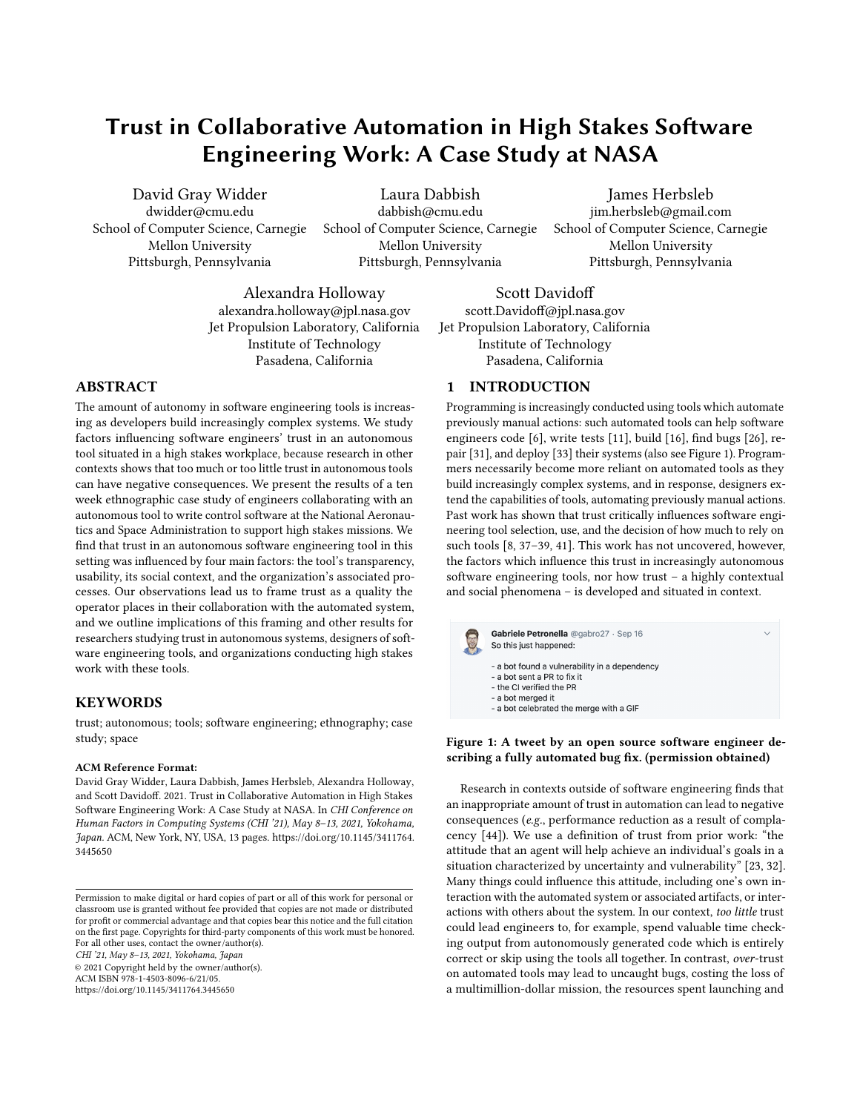# Trust in Collaborative Automation in High Stakes Software Engineering Work: A Case Study at NASA

David Gray Widder dwidder@cmu.edu School of Computer Science, Carnegie Mellon University Pittsburgh, Pennsylvania

Laura Dabbish dabbish@cmu.edu School of Computer Science, Carnegie Mellon University Pittsburgh, Pennsylvania

James Herbsleb jim.herbsleb@gmail.com School of Computer Science, Carnegie Mellon University Pittsburgh, Pennsylvania

Alexandra Holloway alexandra.holloway@jpl.nasa.gov Jet Propulsion Laboratory, California Institute of Technology Pasadena, California

# ABSTRACT

The amount of autonomy in software engineering tools is increasing as developers build increasingly complex systems. We study factors influencing software engineers' trust in an autonomous tool situated in a high stakes workplace, because research in other contexts shows that too much or too little trust in autonomous tools can have negative consequences. We present the results of a ten week ethnographic case study of engineers collaborating with an autonomous tool to write control software at the National Aeronautics and Space Administration to support high stakes missions. We find that trust in an autonomous software engineering tool in this setting was influenced by four main factors: the tool's transparency, usability, its social context, and the organization's associated processes. Our observations lead us to frame trust as a quality the operator places in their collaboration with the automated system, and we outline implications of this framing and other results for researchers studying trust in autonomous systems, designers of software engineering tools, and organizations conducting high stakes work with these tools.

## **KEYWORDS**

trust; autonomous; tools; software engineering; ethnography; case study; space

#### ACM Reference Format:

David Gray Widder, Laura Dabbish, James Herbsleb, Alexandra Holloway, and Scott Davidoff. 2021. Trust in Collaborative Automation in High Stakes Software Engineering Work: A Case Study at NASA. In CHI Conference on Human Factors in Computing Systems (CHI '21), May 8–13, 2021, Yokohama, Japan. ACM, New York, NY, USA, [13](#page-12-0) pages. [https://doi.org/10.1145/3411764.](https://doi.org/10.1145/3411764.3445650) [3445650](https://doi.org/10.1145/3411764.3445650)

CHI '21, May 8–13, 2021, Yokohama, Japan

© 2021 Copyright held by the owner/author(s).

ACM ISBN 978-1-4503-8096-6/21/05.

<https://doi.org/10.1145/3411764.3445650>

Scott Davidoff scott.Davidoff@jpl.nasa.gov Jet Propulsion Laboratory, California Institute of Technology Pasadena, California

## 1 INTRODUCTION

Programming is increasingly conducted using tools which automate previously manual actions: such automated tools can help software engineers code [\[6\]](#page-11-0), write tests [\[11\]](#page-11-1), build [\[16\]](#page-11-2), find bugs [\[26\]](#page-11-3), repair [\[31\]](#page-12-1), and deploy [\[33\]](#page-12-2) their systems (also see Figure [1\)](#page-0-0). Programmers necessarily become more reliant on automated tools as they build increasingly complex systems, and in response, designers extend the capabilities of tools, automating previously manual actions. Past work has shown that trust critically influences software engineering tool selection, use, and the decision of how much to rely on such tools [\[8,](#page-11-4) [37](#page-12-3)[–39,](#page-12-4) [41\]](#page-12-5). This work has not uncovered, however, the factors which influence this trust in increasingly autonomous software engineering tools, nor how trust – a highly contextual and social phenomena – is developed and situated in context.

<span id="page-0-0"></span>

Figure 1: A tweet by an open source software engineer describing a fully automated bug fix. (permission obtained)

Research in contexts outside of software engineering finds that an inappropriate amount of trust in automation can lead to negative consequences (e.g., performance reduction as a result of complacency [\[44\]](#page-12-6)). We use a definition of trust from prior work: "the attitude that an agent will help achieve an individual's goals in a situation characterized by uncertainty and vulnerability" [\[23,](#page-11-5) [32\]](#page-12-7). Many things could influence this attitude, including one's own interaction with the automated system or associated artifacts, or interactions with others about the system. In our context, too little trust could lead engineers to, for example, spend valuable time checking output from autonomously generated code which is entirely correct or skip using the tools all together. In contrast, over-trust on automated tools may lead to uncaught bugs, costing the loss of a multimillion-dollar mission, the resources spent launching and

Permission to make digital or hard copies of part or all of this work for personal or classroom use is granted without fee provided that copies are not made or distributed for profit or commercial advantage and that copies bear this notice and the full citation on the first page. Copyrights for third-party components of this work must be honored. For all other uses, contact the owner/author(s).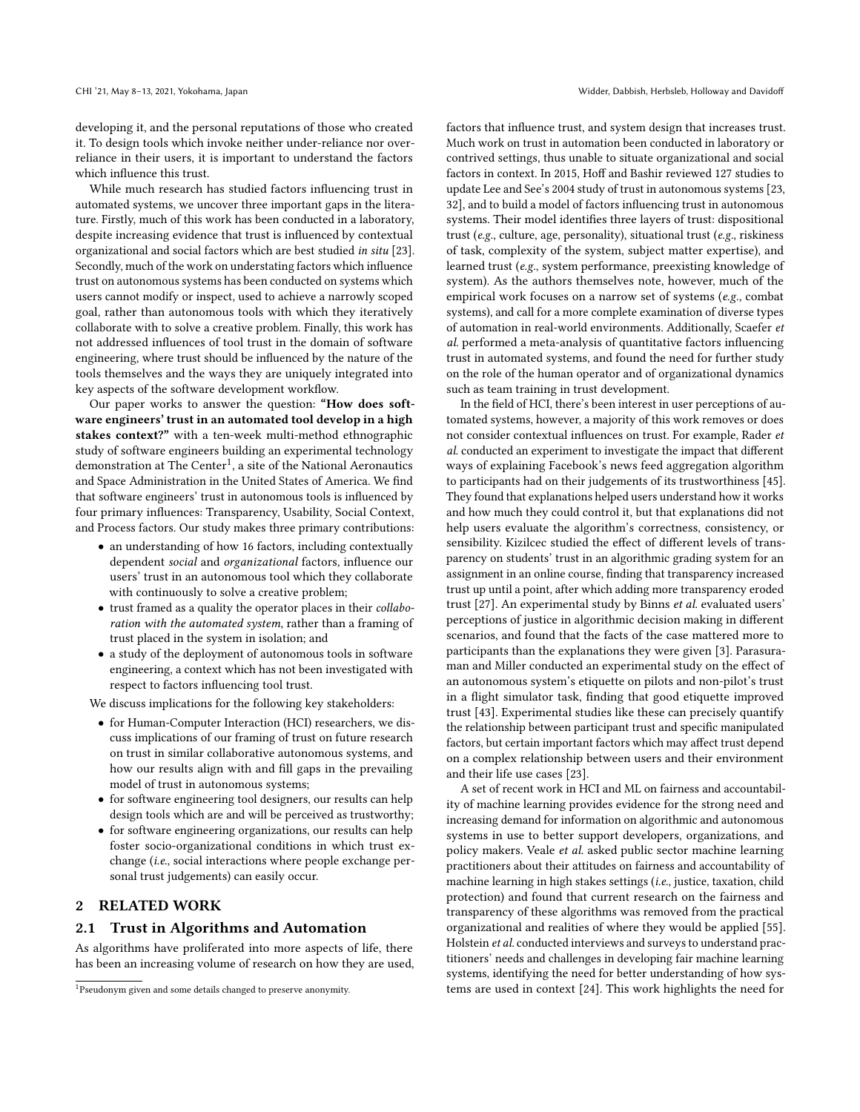developing it, and the personal reputations of those who created it. To design tools which invoke neither under-reliance nor overreliance in their users, it is important to understand the factors which influence this trust.

While much research has studied factors influencing trust in automated systems, we uncover three important gaps in the literature. Firstly, much of this work has been conducted in a laboratory, despite increasing evidence that trust is influenced by contextual organizational and social factors which are best studied in situ [\[23\]](#page-11-5). Secondly, much of the work on understating factors which influence trust on autonomous systems has been conducted on systems which users cannot modify or inspect, used to achieve a narrowly scoped goal, rather than autonomous tools with which they iteratively collaborate with to solve a creative problem. Finally, this work has not addressed influences of tool trust in the domain of software engineering, where trust should be influenced by the nature of the tools themselves and the ways they are uniquely integrated into key aspects of the software development workflow.

Our paper works to answer the question: "How does software engineers' trust in an automated tool develop in a high stakes context?" with a ten-week multi-method ethnographic study of software engineers building an experimental technology demonstration at The  $\rm Center^1$  $\rm Center^1$ , a site of the National Aeronautics and Space Administration in the United States of America. We find that software engineers' trust in autonomous tools is influenced by four primary influences: Transparency, Usability, Social Context, and Process factors. Our study makes three primary contributions:

- an understanding of how 16 factors, including contextually dependent social and organizational factors, influence our users' trust in an autonomous tool which they collaborate with continuously to solve a creative problem;
- trust framed as a quality the operator places in their collaboration with the automated system, rather than a framing of trust placed in the system in isolation; and
- a study of the deployment of autonomous tools in software engineering, a context which has not been investigated with respect to factors influencing tool trust.

We discuss implications for the following key stakeholders:

- for Human-Computer Interaction (HCI) researchers, we discuss implications of our framing of trust on future research on trust in similar collaborative autonomous systems, and how our results align with and fill gaps in the prevailing model of trust in autonomous systems;
- for software engineering tool designers, our results can help design tools which are and will be perceived as trustworthy;
- for software engineering organizations, our results can help foster socio-organizational conditions in which trust exchange (i.e., social interactions where people exchange personal trust judgements) can easily occur.

## 2 RELATED WORK

#### 2.1 Trust in Algorithms and Automation

As algorithms have proliferated into more aspects of life, there has been an increasing volume of research on how they are used, factors that influence trust, and system design that increases trust. Much work on trust in automation been conducted in laboratory or contrived settings, thus unable to situate organizational and social factors in context. In 2015, Hoff and Bashir reviewed 127 studies to update Lee and See's 2004 study of trust in autonomous systems [\[23,](#page-11-5) [32\]](#page-12-7), and to build a model of factors influencing trust in autonomous systems. Their model identifies three layers of trust: dispositional trust (e.g., culture, age, personality), situational trust (e.g., riskiness of task, complexity of the system, subject matter expertise), and learned trust (e.g., system performance, preexisting knowledge of system). As the authors themselves note, however, much of the empirical work focuses on a narrow set of systems (e.g., combat systems), and call for a more complete examination of diverse types of automation in real-world environments. Additionally, Scaefer et al. performed a meta-analysis of quantitative factors influencing trust in automated systems, and found the need for further study on the role of the human operator and of organizational dynamics such as team training in trust development.

In the field of HCI, there's been interest in user perceptions of automated systems, however, a majority of this work removes or does not consider contextual influences on trust. For example, Rader et al. conducted an experiment to investigate the impact that different ways of explaining Facebook's news feed aggregation algorithm to participants had on their judgements of its trustworthiness [\[45\]](#page-12-8). They found that explanations helped users understand how it works and how much they could control it, but that explanations did not help users evaluate the algorithm's correctness, consistency, or sensibility. Kizilcec studied the effect of different levels of transparency on students' trust in an algorithmic grading system for an assignment in an online course, finding that transparency increased trust up until a point, after which adding more transparency eroded trust [\[27\]](#page-11-6). An experimental study by Binns et al. evaluated users' perceptions of justice in algorithmic decision making in different scenarios, and found that the facts of the case mattered more to participants than the explanations they were given [\[3\]](#page-11-7). Parasuraman and Miller conducted an experimental study on the effect of an autonomous system's etiquette on pilots and non-pilot's trust in a flight simulator task, finding that good etiquette improved trust [\[43\]](#page-12-9). Experimental studies like these can precisely quantify the relationship between participant trust and specific manipulated factors, but certain important factors which may affect trust depend on a complex relationship between users and their environment and their life use cases [\[23\]](#page-11-5).

A set of recent work in HCI and ML on fairness and accountability of machine learning provides evidence for the strong need and increasing demand for information on algorithmic and autonomous systems in use to better support developers, organizations, and policy makers. Veale et al. asked public sector machine learning practitioners about their attitudes on fairness and accountability of machine learning in high stakes settings (i.e., justice, taxation, child protection) and found that current research on the fairness and transparency of these algorithms was removed from the practical organizational and realities of where they would be applied [\[55\]](#page-12-10). Holstein et al. conducted interviews and surveys to understand practitioners' needs and challenges in developing fair machine learning systems, identifying the need for better understanding of how systems are used in context [\[24\]](#page-11-8). This work highlights the need for

<span id="page-1-0"></span><sup>1</sup>Pseudonym given and some details changed to preserve anonymity.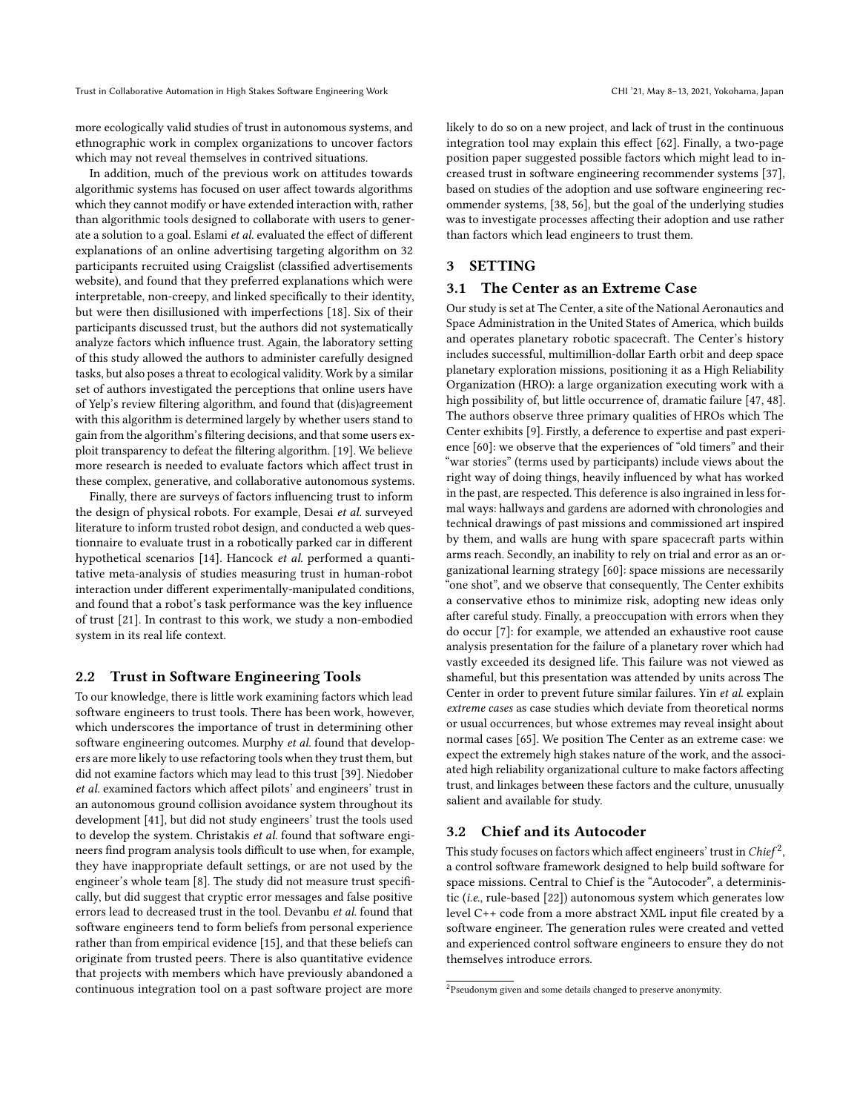Trust in Collaborative Automation in High Stakes Software Engineering Work CHI '21, May 8–13, 2021, Yokohama, Japan

more ecologically valid studies of trust in autonomous systems, and ethnographic work in complex organizations to uncover factors which may not reveal themselves in contrived situations.

In addition, much of the previous work on attitudes towards algorithmic systems has focused on user affect towards algorithms which they cannot modify or have extended interaction with, rather than algorithmic tools designed to collaborate with users to generate a solution to a goal. Eslami et al. evaluated the effect of different explanations of an online advertising targeting algorithm on 32 participants recruited using Craigslist (classified advertisements website), and found that they preferred explanations which were interpretable, non-creepy, and linked specifically to their identity, but were then disillusioned with imperfections [\[18\]](#page-11-9). Six of their participants discussed trust, but the authors did not systematically analyze factors which influence trust. Again, the laboratory setting of this study allowed the authors to administer carefully designed tasks, but also poses a threat to ecological validity. Work by a similar set of authors investigated the perceptions that online users have of Yelp's review filtering algorithm, and found that (dis)agreement with this algorithm is determined largely by whether users stand to gain from the algorithm's filtering decisions, and that some users exploit transparency to defeat the filtering algorithm. [\[19\]](#page-11-10). We believe more research is needed to evaluate factors which affect trust in these complex, generative, and collaborative autonomous systems.

Finally, there are surveys of factors influencing trust to inform the design of physical robots. For example, Desai et al. surveyed literature to inform trusted robot design, and conducted a web questionnaire to evaluate trust in a robotically parked car in different hypothetical scenarios [\[14\]](#page-11-11). Hancock et al. performed a quantitative meta-analysis of studies measuring trust in human-robot interaction under different experimentally-manipulated conditions, and found that a robot's task performance was the key influence of trust [\[21\]](#page-11-12). In contrast to this work, we study a non-embodied system in its real life context.

## 2.2 Trust in Software Engineering Tools

To our knowledge, there is little work examining factors which lead software engineers to trust tools. There has been work, however, which underscores the importance of trust in determining other software engineering outcomes. Murphy et al. found that developers are more likely to use refactoring tools when they trust them, but did not examine factors which may lead to this trust [\[39\]](#page-12-4). Niedober et al. examined factors which affect pilots' and engineers' trust in an autonomous ground collision avoidance system throughout its development [\[41\]](#page-12-5), but did not study engineers' trust the tools used to develop the system. Christakis et al. found that software engineers find program analysis tools difficult to use when, for example, they have inappropriate default settings, or are not used by the engineer's whole team [\[8\]](#page-11-4). The study did not measure trust specifically, but did suggest that cryptic error messages and false positive errors lead to decreased trust in the tool. Devanbu et al. found that software engineers tend to form beliefs from personal experience rather than from empirical evidence [\[15\]](#page-11-13), and that these beliefs can originate from trusted peers. There is also quantitative evidence that projects with members which have previously abandoned a continuous integration tool on a past software project are more

likely to do so on a new project, and lack of trust in the continuous integration tool may explain this effect [\[62\]](#page-12-11). Finally, a two-page position paper suggested possible factors which might lead to increased trust in software engineering recommender systems [\[37\]](#page-12-3), based on studies of the adoption and use software engineering recommender systems, [\[38,](#page-12-12) [56\]](#page-12-13), but the goal of the underlying studies was to investigate processes affecting their adoption and use rather than factors which lead engineers to trust them.

# 3 SETTING

#### 3.1 The Center as an Extreme Case

Our study is set at The Center, a site of the National Aeronautics and Space Administration in the United States of America, which builds and operates planetary robotic spacecraft. The Center's history includes successful, multimillion-dollar Earth orbit and deep space planetary exploration missions, positioning it as a High Reliability Organization (HRO): a large organization executing work with a high possibility of, but little occurrence of, dramatic failure [\[47,](#page-12-14) [48\]](#page-12-15). The authors observe three primary qualities of HROs which The Center exhibits [\[9\]](#page-11-14). Firstly, a deference to expertise and past experience [\[60\]](#page-12-16): we observe that the experiences of "old timers" and their "war stories" (terms used by participants) include views about the right way of doing things, heavily influenced by what has worked in the past, are respected. This deference is also ingrained in less formal ways: hallways and gardens are adorned with chronologies and technical drawings of past missions and commissioned art inspired by them, and walls are hung with spare spacecraft parts within arms reach. Secondly, an inability to rely on trial and error as an organizational learning strategy [\[60\]](#page-12-16): space missions are necessarily "one shot", and we observe that consequently, The Center exhibits a conservative ethos to minimize risk, adopting new ideas only after careful study. Finally, a preoccupation with errors when they do occur [\[7\]](#page-11-15): for example, we attended an exhaustive root cause analysis presentation for the failure of a planetary rover which had vastly exceeded its designed life. This failure was not viewed as shameful, but this presentation was attended by units across The Center in order to prevent future similar failures. Yin et al. explain extreme cases as case studies which deviate from theoretical norms or usual occurrences, but whose extremes may reveal insight about normal cases [\[65\]](#page-12-17). We position The Center as an extreme case: we expect the extremely high stakes nature of the work, and the associated high reliability organizational culture to make factors affecting trust, and linkages between these factors and the culture, unusually salient and available for study.

## 3.2 Chief and its Autocoder

This study focuses on factors which affect engineers' trust in  $\mathit{Chief}^2,$  $\mathit{Chief}^2,$  $\mathit{Chief}^2,$ a control software framework designed to help build software for space missions. Central to Chief is the "Autocoder", a deterministic (i.e., rule-based [\[22\]](#page-11-16)) autonomous system which generates low level C++ code from a more abstract XML input file created by a software engineer. The generation rules were created and vetted and experienced control software engineers to ensure they do not themselves introduce errors.

<span id="page-2-0"></span><sup>&</sup>lt;sup>2</sup>Pseudonym given and some details changed to preserve anonymity.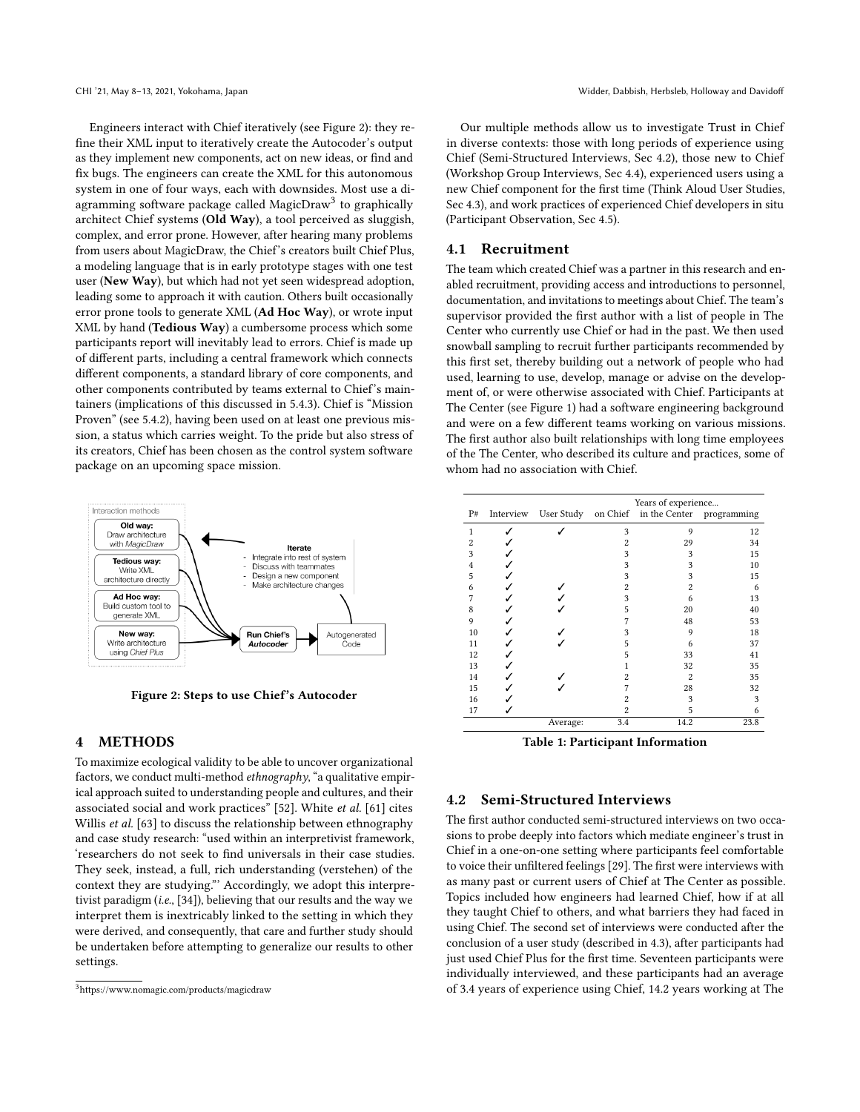Engineers interact with Chief iteratively (see Figure [2\)](#page-3-0): they refine their XML input to iteratively create the Autocoder's output as they implement new components, act on new ideas, or find and fix bugs. The engineers can create the XML for this autonomous system in one of four ways, each with downsides. Most use a diagramming software package called Magic $\mathrm{Draw}^3$  $\mathrm{Draw}^3$  to graphically architect Chief systems (Old Way), a tool perceived as sluggish, complex, and error prone. However, after hearing many problems from users about MagicDraw, the Chief's creators built Chief Plus, a modeling language that is in early prototype stages with one test user (New Way), but which had not yet seen widespread adoption, leading some to approach it with caution. Others built occasionally error prone tools to generate XML (Ad Hoc Way), or wrote input XML by hand (Tedious Way) a cumbersome process which some participants report will inevitably lead to errors. Chief is made up of different parts, including a central framework which connects different components, a standard library of core components, and other components contributed by teams external to Chief's maintainers (implications of this discussed in [5.4.3\)](#page-9-0). Chief is "Mission Proven" (see [5.4.2\)](#page-9-1), having been used on at least one previous mission, a status which carries weight. To the pride but also stress of its creators, Chief has been chosen as the control system software package on an upcoming space mission.

<span id="page-3-0"></span>

Figure 2: Steps to use Chief's Autocoder

## 4 METHODS

To maximize ecological validity to be able to uncover organizational factors, we conduct multi-method ethnography, "a qualitative empirical approach suited to understanding people and cultures, and their associated social and work practices" [\[52\]](#page-12-18). White et al. [\[61\]](#page-12-19) cites Willis *et al.* [\[63\]](#page-12-20) to discuss the relationship between ethnography and case study research: "used within an interpretivist framework, 'researchers do not seek to find universals in their case studies. They seek, instead, a full, rich understanding (verstehen) of the context they are studying."' Accordingly, we adopt this interpretivist paradigm (i.e., [\[34\]](#page-12-21)), believing that our results and the way we interpret them is inextricably linked to the setting in which they were derived, and consequently, that care and further study should be undertaken before attempting to generalize our results to other settings.

Our multiple methods allow us to investigate Trust in Chief in diverse contexts: those with long periods of experience using Chief (Semi-Structured Interviews, Sec [4.2\)](#page-3-2), those new to Chief (Workshop Group Interviews, Sec [4.4\)](#page-4-0), experienced users using a new Chief component for the first time (Think Aloud User Studies, Sec [4.3\)](#page-4-1), and work practices of experienced Chief developers in situ (Participant Observation, Sec [4.5\)](#page-4-2).

## 4.1 Recruitment

The team which created Chief was a partner in this research and enabled recruitment, providing access and introductions to personnel, documentation, and invitations to meetings about Chief. The team's supervisor provided the first author with a list of people in The Center who currently use Chief or had in the past. We then used snowball sampling to recruit further participants recommended by this first set, thereby building out a network of people who had used, learning to use, develop, manage or advise on the development of, or were otherwise associated with Chief. Participants at The Center (see Figure [1\)](#page-3-3) had a software engineering background and were on a few different teams working on various missions. The first author also built relationships with long time employees of the The Center, who described its culture and practices, some of whom had no association with Chief.

<span id="page-3-3"></span>

|                |           |                     | Years of experience |                |             |
|----------------|-----------|---------------------|---------------------|----------------|-------------|
| P#             | Interview | User Study on Chief |                     | in the Center  | programming |
| 1              |           |                     | 3                   | 9              | 12          |
| $\overline{2}$ |           |                     | $\overline{2}$      | 29             | 34          |
| 3              |           |                     | 3                   | 3              | 15          |
| $\overline{4}$ |           |                     | 3                   | 3              | 10          |
| 5              |           |                     | 3                   | 3              | 15          |
| 6              |           |                     | $\overline{2}$      | $\overline{2}$ | 6           |
| 7              |           |                     | 3                   | 6              | 13          |
| 8              |           |                     | 5                   | 20             | 40          |
| 9              |           |                     | 7                   | 48             | 53          |
| 10             |           |                     | 3                   | 9              | 18          |
| 11             |           |                     | 5                   | 6              | 37          |
| 12             |           |                     | 5                   | 33             | 41          |
| 13             |           |                     | 1                   | 32             | 35          |
| 14             |           |                     | $\overline{c}$      | $\overline{c}$ | 35          |
| 15             |           |                     | 7                   | 28             | 32          |
| 16             |           |                     | $\overline{2}$      | 3              | 3           |
| 17             |           |                     | $\overline{2}$      | 5              | 6           |
|                |           | Average:            | 3.4                 | 14.2           | 23.8        |
|                |           |                     |                     |                |             |

Table 1: Participant Information

#### <span id="page-3-2"></span>4.2 Semi-Structured Interviews

The first author conducted semi-structured interviews on two occasions to probe deeply into factors which mediate engineer's trust in Chief in a one-on-one setting where participants feel comfortable to voice their unfiltered feelings [\[29\]](#page-11-17). The first were interviews with as many past or current users of Chief at The Center as possible. Topics included how engineers had learned Chief, how if at all they taught Chief to others, and what barriers they had faced in using Chief. The second set of interviews were conducted after the conclusion of a user study (described in [4.3\)](#page-4-1), after participants had just used Chief Plus for the first time. Seventeen participants were individually interviewed, and these participants had an average of 3.4 years of experience using Chief, 14.2 years working at The

<span id="page-3-1"></span><sup>3</sup>https://www.nomagic.com/products/magicdraw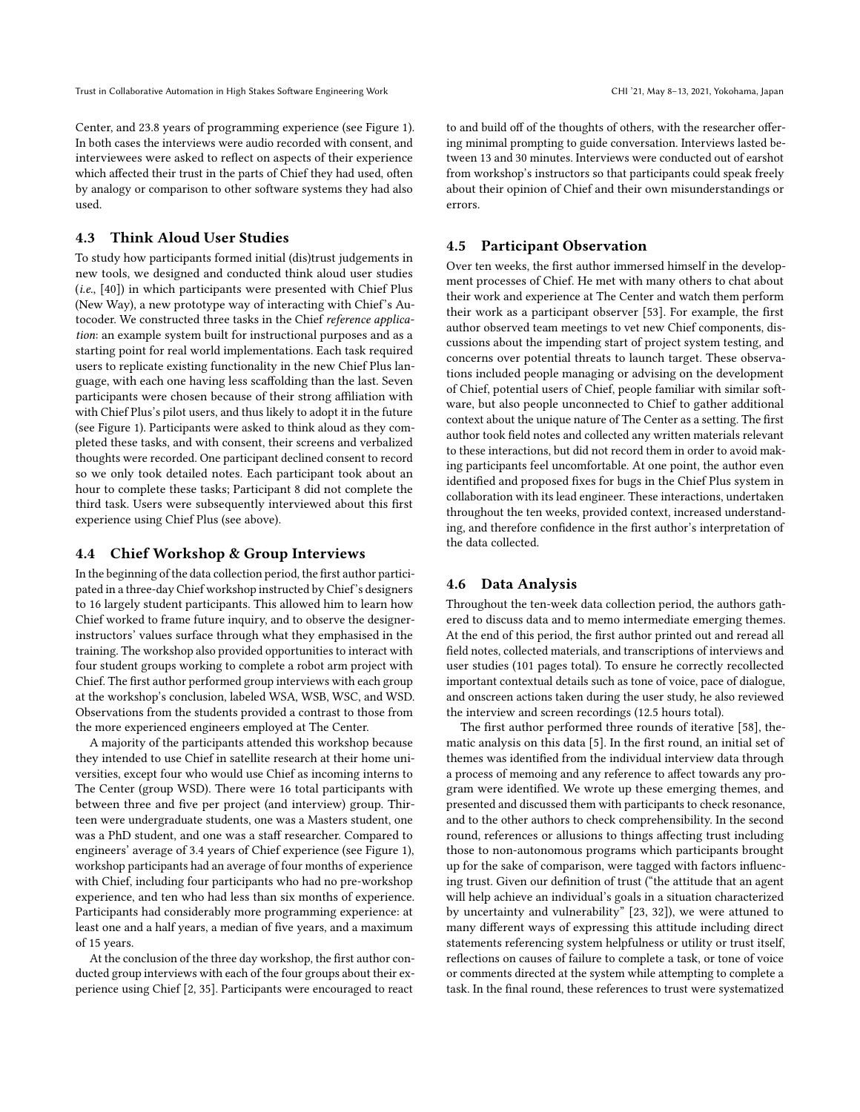Trust in Collaborative Automation in High Stakes Software Engineering Work CHI '21, May 8–13, 2021, Yokohama, Japan

Center, and 23.8 years of programming experience (see Figure [1\)](#page-3-3). In both cases the interviews were audio recorded with consent, and interviewees were asked to reflect on aspects of their experience which affected their trust in the parts of Chief they had used, often by analogy or comparison to other software systems they had also used.

## <span id="page-4-1"></span>4.3 Think Aloud User Studies

To study how participants formed initial (dis)trust judgements in new tools, we designed and conducted think aloud user studies (i.e., [\[40\]](#page-12-22)) in which participants were presented with Chief Plus (New Way), a new prototype way of interacting with Chief's Autocoder. We constructed three tasks in the Chief reference application: an example system built for instructional purposes and as a starting point for real world implementations. Each task required users to replicate existing functionality in the new Chief Plus language, with each one having less scaffolding than the last. Seven participants were chosen because of their strong affiliation with with Chief Plus's pilot users, and thus likely to adopt it in the future (see Figure [1\)](#page-3-3). Participants were asked to think aloud as they completed these tasks, and with consent, their screens and verbalized thoughts were recorded. One participant declined consent to record so we only took detailed notes. Each participant took about an hour to complete these tasks; Participant 8 did not complete the third task. Users were subsequently interviewed about this first experience using Chief Plus (see above).

#### <span id="page-4-0"></span>4.4 Chief Workshop & Group Interviews

In the beginning of the data collection period, the first author participated in a three-day Chief workshop instructed by Chief's designers to 16 largely student participants. This allowed him to learn how Chief worked to frame future inquiry, and to observe the designerinstructors' values surface through what they emphasised in the training. The workshop also provided opportunities to interact with four student groups working to complete a robot arm project with Chief. The first author performed group interviews with each group at the workshop's conclusion, labeled WSA, WSB, WSC, and WSD. Observations from the students provided a contrast to those from the more experienced engineers employed at The Center.

A majority of the participants attended this workshop because they intended to use Chief in satellite research at their home universities, except four who would use Chief as incoming interns to The Center (group WSD). There were 16 total participants with between three and five per project (and interview) group. Thirteen were undergraduate students, one was a Masters student, one was a PhD student, and one was a staff researcher. Compared to engineers' average of 3.4 years of Chief experience (see Figure [1\)](#page-3-3), workshop participants had an average of four months of experience with Chief, including four participants who had no pre-workshop experience, and ten who had less than six months of experience. Participants had considerably more programming experience: at least one and a half years, a median of five years, and a maximum of 15 years.

At the conclusion of the three day workshop, the first author conducted group interviews with each of the four groups about their experience using Chief [\[2,](#page-11-18) [35\]](#page-12-23). Participants were encouraged to react

to and build off of the thoughts of others, with the researcher offering minimal prompting to guide conversation. Interviews lasted between 13 and 30 minutes. Interviews were conducted out of earshot from workshop's instructors so that participants could speak freely about their opinion of Chief and their own misunderstandings or errors.

#### <span id="page-4-2"></span>4.5 Participant Observation

Over ten weeks, the first author immersed himself in the development processes of Chief. He met with many others to chat about their work and experience at The Center and watch them perform their work as a participant observer [\[53\]](#page-12-24). For example, the first author observed team meetings to vet new Chief components, discussions about the impending start of project system testing, and concerns over potential threats to launch target. These observations included people managing or advising on the development of Chief, potential users of Chief, people familiar with similar software, but also people unconnected to Chief to gather additional context about the unique nature of The Center as a setting. The first author took field notes and collected any written materials relevant to these interactions, but did not record them in order to avoid making participants feel uncomfortable. At one point, the author even identified and proposed fixes for bugs in the Chief Plus system in collaboration with its lead engineer. These interactions, undertaken throughout the ten weeks, provided context, increased understanding, and therefore confidence in the first author's interpretation of the data collected.

#### 4.6 Data Analysis

Throughout the ten-week data collection period, the authors gathered to discuss data and to memo intermediate emerging themes. At the end of this period, the first author printed out and reread all field notes, collected materials, and transcriptions of interviews and user studies (101 pages total). To ensure he correctly recollected important contextual details such as tone of voice, pace of dialogue, and onscreen actions taken during the user study, he also reviewed the interview and screen recordings (12.5 hours total).

The first author performed three rounds of iterative [\[58\]](#page-12-25), thematic analysis on this data [\[5\]](#page-11-19). In the first round, an initial set of themes was identified from the individual interview data through a process of memoing and any reference to affect towards any program were identified. We wrote up these emerging themes, and presented and discussed them with participants to check resonance, and to the other authors to check comprehensibility. In the second round, references or allusions to things affecting trust including those to non-autonomous programs which participants brought up for the sake of comparison, were tagged with factors influencing trust. Given our definition of trust ("the attitude that an agent will help achieve an individual's goals in a situation characterized by uncertainty and vulnerability" [\[23,](#page-11-5) [32\]](#page-12-7)), we were attuned to many different ways of expressing this attitude including direct statements referencing system helpfulness or utility or trust itself, reflections on causes of failure to complete a task, or tone of voice or comments directed at the system while attempting to complete a task. In the final round, these references to trust were systematized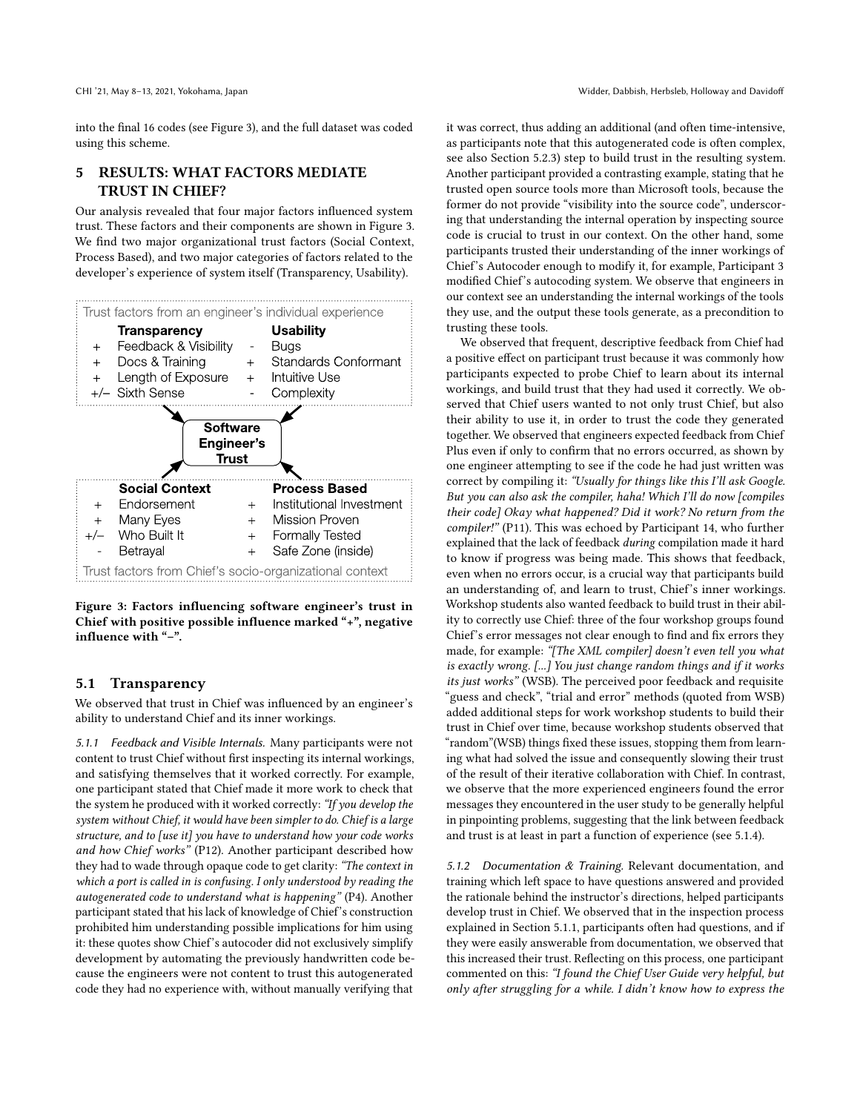into the final 16 codes (see Figure [3\)](#page-5-0), and the full dataset was coded using this scheme.

# 5 RESULTS: WHAT FACTORS MEDIATE TRUST IN CHIEF?

Our analysis revealed that four major factors influenced system trust. These factors and their components are shown in Figure [3.](#page-5-0) We find two major organizational trust factors (Social Context, Process Based), and two major categories of factors related to the developer's experience of system itself (Transparency, Usability).

<span id="page-5-0"></span>

Figure 3: Factors influencing software engineer's trust in Chief with positive possible influence marked "+", negative influence with "–".

## 5.1 Transparency

We observed that trust in Chief was influenced by an engineer's ability to understand Chief and its inner workings.

<span id="page-5-1"></span>5.1.1 Feedback and Visible Internals. Many participants were not content to trust Chief without first inspecting its internal workings, and satisfying themselves that it worked correctly. For example, one participant stated that Chief made it more work to check that the system he produced with it worked correctly: "If you develop the system without Chief, it would have been simpler to do. Chief is a large structure, and to [use it] you have to understand how your code works and how Chief works" (P12). Another participant described how they had to wade through opaque code to get clarity: "The context in which a port is called in is confusing. I only understood by reading the autogenerated code to understand what is happening" (P4). Another participant stated that his lack of knowledge of Chief's construction prohibited him understanding possible implications for him using it: these quotes show Chief's autocoder did not exclusively simplify development by automating the previously handwritten code because the engineers were not content to trust this autogenerated code they had no experience with, without manually verifying that

it was correct, thus adding an additional (and often time-intensive, as participants note that this autogenerated code is often complex, see also Section [5.2.3\)](#page-7-0) step to build trust in the resulting system. Another participant provided a contrasting example, stating that he trusted open source tools more than Microsoft tools, because the former do not provide "visibility into the source code", underscoring that understanding the internal operation by inspecting source code is crucial to trust in our context. On the other hand, some participants trusted their understanding of the inner workings of Chief's Autocoder enough to modify it, for example, Participant 3 modified Chief's autocoding system. We observe that engineers in our context see an understanding the internal workings of the tools they use, and the output these tools generate, as a precondition to trusting these tools.

We observed that frequent, descriptive feedback from Chief had a positive effect on participant trust because it was commonly how participants expected to probe Chief to learn about its internal workings, and build trust that they had used it correctly. We observed that Chief users wanted to not only trust Chief, but also their ability to use it, in order to trust the code they generated together. We observed that engineers expected feedback from Chief Plus even if only to confirm that no errors occurred, as shown by one engineer attempting to see if the code he had just written was correct by compiling it: "Usually for things like this I'll ask Google. But you can also ask the compiler, haha! Which I'll do now [compiles their code] Okay what happened? Did it work? No return from the compiler!" (P11). This was echoed by Participant 14, who further explained that the lack of feedback during compilation made it hard to know if progress was being made. This shows that feedback, even when no errors occur, is a crucial way that participants build an understanding of, and learn to trust, Chief's inner workings. Workshop students also wanted feedback to build trust in their ability to correctly use Chief: three of the four workshop groups found Chief's error messages not clear enough to find and fix errors they made, for example: "[The XML compiler] doesn't even tell you what is exactly wrong. [...] You just change random things and if it works its just works" (WSB). The perceived poor feedback and requisite "guess and check", "trial and error" methods (quoted from WSB) added additional steps for work workshop students to build their trust in Chief over time, because workshop students observed that "random"(WSB) things fixed these issues, stopping them from learning what had solved the issue and consequently slowing their trust of the result of their iterative collaboration with Chief. In contrast, we observe that the more experienced engineers found the error messages they encountered in the user study to be generally helpful in pinpointing problems, suggesting that the link between feedback and trust is at least in part a function of experience (see [5.1.4\)](#page-6-0).

5.1.2 Documentation & Training. Relevant documentation, and training which left space to have questions answered and provided the rationale behind the instructor's directions, helped participants develop trust in Chief. We observed that in the inspection process explained in Section [5.1.1,](#page-5-1) participants often had questions, and if they were easily answerable from documentation, we observed that this increased their trust. Reflecting on this process, one participant commented on this: "I found the Chief User Guide very helpful, but only after struggling for a while. I didn't know how to express the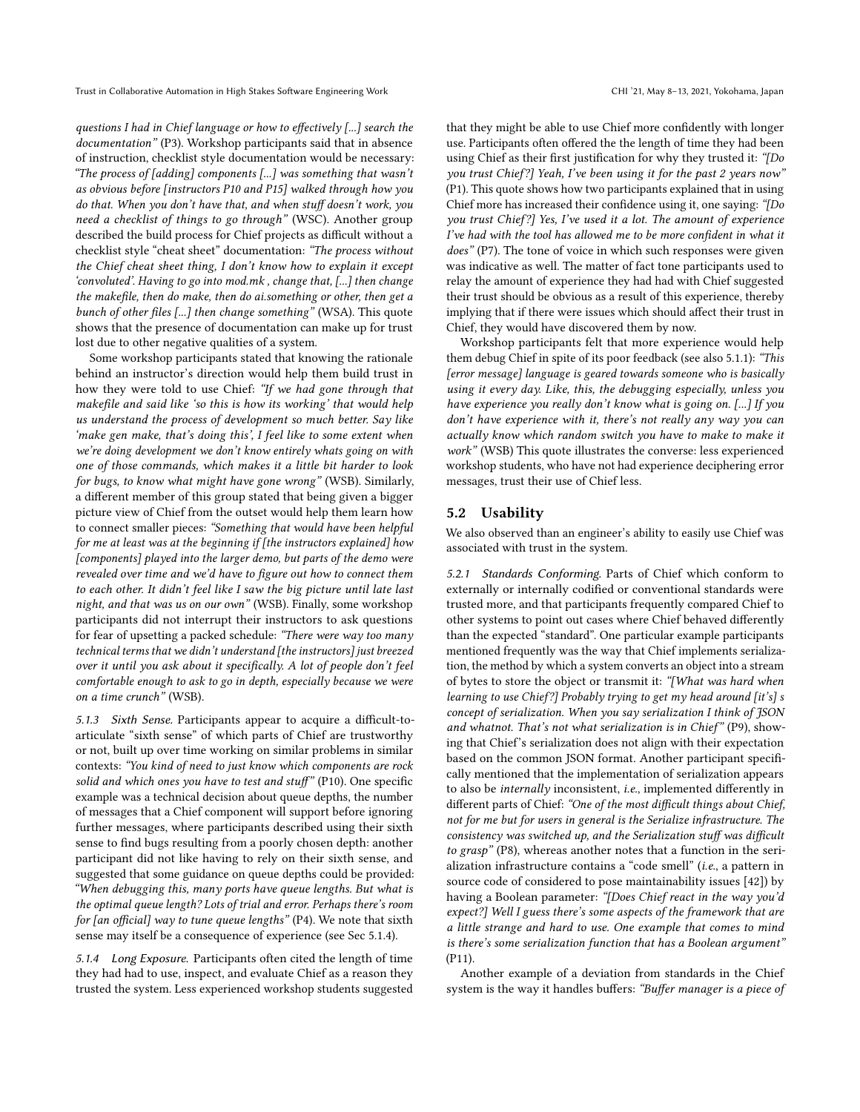questions I had in Chief language or how to effectively [...] search the documentation" (P3). Workshop participants said that in absence of instruction, checklist style documentation would be necessary: "The process of [adding] components [...] was something that wasn't as obvious before [instructors P10 and P15] walked through how you do that. When you don't have that, and when stuff doesn't work, you need a checklist of things to go through" (WSC). Another group described the build process for Chief projects as difficult without a checklist style "cheat sheet" documentation: "The process without the Chief cheat sheet thing, I don't know how to explain it except 'convoluted'. Having to go into mod.mk , change that, [...] then change the makefile, then do make, then do ai.something or other, then get a bunch of other files [...] then change something" (WSA). This quote shows that the presence of documentation can make up for trust lost due to other negative qualities of a system.

Some workshop participants stated that knowing the rationale behind an instructor's direction would help them build trust in how they were told to use Chief: "If we had gone through that makefile and said like 'so this is how its working' that would help us understand the process of development so much better. Say like 'make gen make, that's doing this', I feel like to some extent when we're doing development we don't know entirely whats going on with one of those commands, which makes it a little bit harder to look for bugs, to know what might have gone wrong" (WSB). Similarly, a different member of this group stated that being given a bigger picture view of Chief from the outset would help them learn how to connect smaller pieces: "Something that would have been helpful for me at least was at the beginning if [the instructors explained] how [components] played into the larger demo, but parts of the demo were revealed over time and we'd have to figure out how to connect them to each other. It didn't feel like I saw the big picture until late last night, and that was us on our own" (WSB). Finally, some workshop participants did not interrupt their instructors to ask questions for fear of upsetting a packed schedule: "There were way too many technical terms that we didn't understand [the instructors] just breezed over it until you ask about it specifically. A lot of people don't feel comfortable enough to ask to go in depth, especially because we were on a time crunch" (WSB).

5.1.3 Sixth Sense. Participants appear to acquire a difficult-toarticulate "sixth sense" of which parts of Chief are trustworthy or not, built up over time working on similar problems in similar contexts: "You kind of need to just know which components are rock solid and which ones you have to test and stuff" (P10). One specific example was a technical decision about queue depths, the number of messages that a Chief component will support before ignoring further messages, where participants described using their sixth sense to find bugs resulting from a poorly chosen depth: another participant did not like having to rely on their sixth sense, and suggested that some guidance on queue depths could be provided: "When debugging this, many ports have queue lengths. But what is the optimal queue length? Lots of trial and error. Perhaps there's room for [an official] way to tune queue lengths" (P4). We note that sixth sense may itself be a consequence of experience (see Sec [5.1.4\)](#page-6-0).

<span id="page-6-0"></span>5.1.4 Long Exposure. Participants often cited the length of time they had had to use, inspect, and evaluate Chief as a reason they trusted the system. Less experienced workshop students suggested that they might be able to use Chief more confidently with longer use. Participants often offered the the length of time they had been using Chief as their first justification for why they trusted it: "[Do you trust Chief?] Yeah, I've been using it for the past 2 years now" (P1). This quote shows how two participants explained that in using Chief more has increased their confidence using it, one saying: "[Do you trust Chief?] Yes, I've used it a lot. The amount of experience I've had with the tool has allowed me to be more confident in what it does" (P7). The tone of voice in which such responses were given was indicative as well. The matter of fact tone participants used to relay the amount of experience they had had with Chief suggested their trust should be obvious as a result of this experience, thereby implying that if there were issues which should affect their trust in Chief, they would have discovered them by now.

Workshop participants felt that more experience would help them debug Chief in spite of its poor feedback (see also [5.1.1\)](#page-5-1): "This [error message] language is geared towards someone who is basically using it every day. Like, this, the debugging especially, unless you have experience you really don't know what is going on. [...] If you don't have experience with it, there's not really any way you can actually know which random switch you have to make to make it work" (WSB) This quote illustrates the converse: less experienced workshop students, who have not had experience deciphering error messages, trust their use of Chief less.

#### 5.2 Usability

We also observed than an engineer's ability to easily use Chief was associated with trust in the system.

5.2.1 Standards Conforming. Parts of Chief which conform to externally or internally codified or conventional standards were trusted more, and that participants frequently compared Chief to other systems to point out cases where Chief behaved differently than the expected "standard". One particular example participants mentioned frequently was the way that Chief implements serialization, the method by which a system converts an object into a stream of bytes to store the object or transmit it: "[What was hard when learning to use Chief?] Probably trying to get my head around [it's] s concept of serialization. When you say serialization I think of JSON and whatnot. That's not what serialization is in Chief" (P9), showing that Chief's serialization does not align with their expectation based on the common JSON format. Another participant specifically mentioned that the implementation of serialization appears to also be internally inconsistent, i.e., implemented differently in different parts of Chief: "One of the most difficult things about Chief, not for me but for users in general is the Serialize infrastructure. The consistency was switched up, and the Serialization stuff was difficult to grasp" (P8), whereas another notes that a function in the serialization infrastructure contains a "code smell" (i.e., a pattern in source code of considered to pose maintainability issues [\[42\]](#page-12-26)) by having a Boolean parameter: "[Does Chief react in the way you'd expect?] Well I guess there's some aspects of the framework that are a little strange and hard to use. One example that comes to mind is there's some serialization function that has a Boolean argument" (P11).

Another example of a deviation from standards in the Chief system is the way it handles buffers: "Buffer manager is a piece of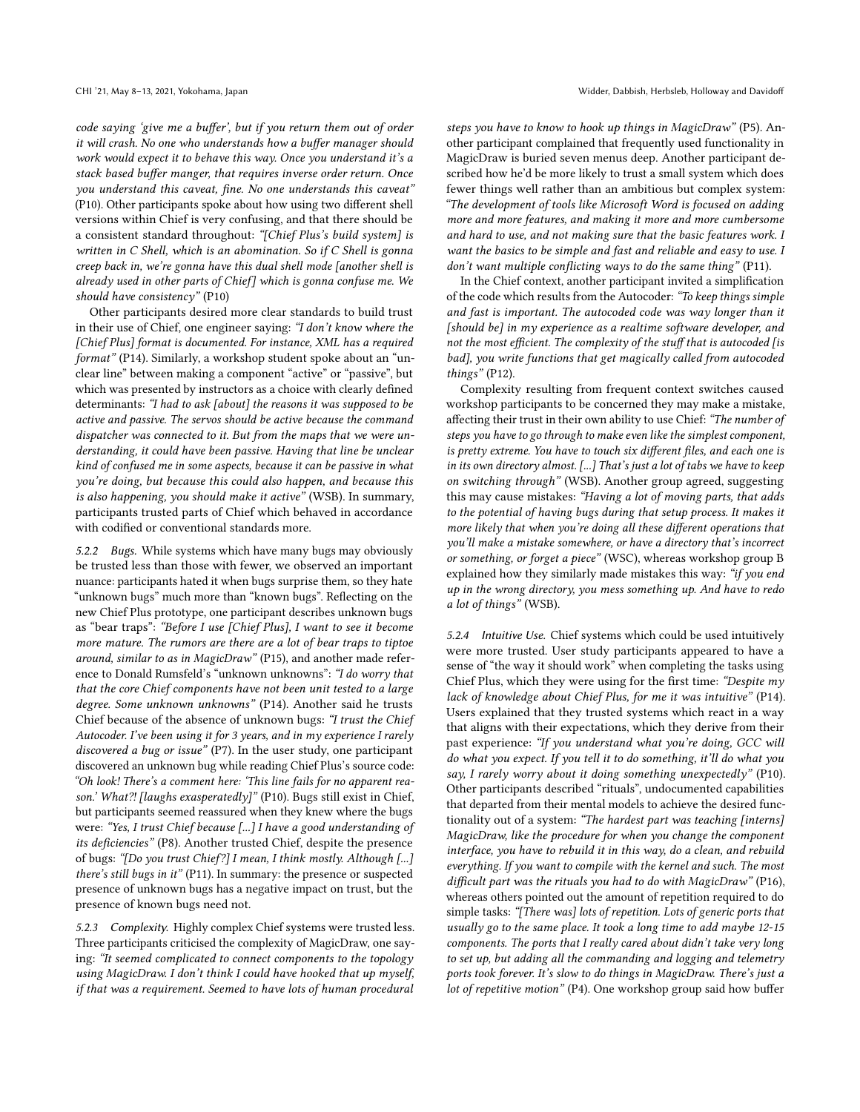code saying 'give me a buffer', but if you return them out of order it will crash. No one who understands how a buffer manager should work would expect it to behave this way. Once you understand it's a stack based buffer manger, that requires inverse order return. Once you understand this caveat, fine. No one understands this caveat" (P10). Other participants spoke about how using two different shell versions within Chief is very confusing, and that there should be a consistent standard throughout: "[Chief Plus's build system] is written in C Shell, which is an abomination. So if C Shell is gonna creep back in, we're gonna have this dual shell mode [another shell is already used in other parts of Chief] which is gonna confuse me. We should have consistency" (P10)

Other participants desired more clear standards to build trust in their use of Chief, one engineer saying: "I don't know where the [Chief Plus] format is documented. For instance, XML has a required format" (P14). Similarly, a workshop student spoke about an "unclear line" between making a component "active" or "passive", but which was presented by instructors as a choice with clearly defined determinants: "I had to ask [about] the reasons it was supposed to be active and passive. The servos should be active because the command dispatcher was connected to it. But from the maps that we were understanding, it could have been passive. Having that line be unclear kind of confused me in some aspects, because it can be passive in what you're doing, but because this could also happen, and because this is also happening, you should make it active" (WSB). In summary, participants trusted parts of Chief which behaved in accordance with codified or conventional standards more.

<span id="page-7-1"></span>5.2.2 Bugs. While systems which have many bugs may obviously be trusted less than those with fewer, we observed an important nuance: participants hated it when bugs surprise them, so they hate "unknown bugs" much more than "known bugs". Reflecting on the new Chief Plus prototype, one participant describes unknown bugs as "bear traps": "Before I use [Chief Plus], I want to see it become more mature. The rumors are there are a lot of bear traps to tiptoe around, similar to as in MagicDraw" (P15), and another made reference to Donald Rumsfeld's "unknown unknowns": "I do worry that that the core Chief components have not been unit tested to a large degree. Some unknown unknowns" (P14). Another said he trusts Chief because of the absence of unknown bugs: "I trust the Chief Autocoder. I've been using it for 3 years, and in my experience I rarely discovered a bug or issue" (P7). In the user study, one participant discovered an unknown bug while reading Chief Plus's source code: "Oh look! There's a comment here: 'This line fails for no apparent reason.' What?! [laughs exasperatedly]" (P10). Bugs still exist in Chief, but participants seemed reassured when they knew where the bugs were: "Yes, I trust Chief because [...] I have a good understanding of its deficiencies" (P8). Another trusted Chief, despite the presence of bugs: "[Do you trust Chief?] I mean, I think mostly. Although [...] there's still bugs in it" (P11). In summary: the presence or suspected presence of unknown bugs has a negative impact on trust, but the presence of known bugs need not.

<span id="page-7-0"></span>5.2.3 Complexity. Highly complex Chief systems were trusted less. Three participants criticised the complexity of MagicDraw, one saying: "It seemed complicated to connect components to the topology using MagicDraw. I don't think I could have hooked that up myself, if that was a requirement. Seemed to have lots of human procedural

steps you have to know to hook up things in MagicDraw" (P5). Another participant complained that frequently used functionality in MagicDraw is buried seven menus deep. Another participant described how he'd be more likely to trust a small system which does fewer things well rather than an ambitious but complex system: "The development of tools like Microsoft Word is focused on adding more and more features, and making it more and more cumbersome and hard to use, and not making sure that the basic features work. I want the basics to be simple and fast and reliable and easy to use. I don't want multiple conflicting ways to do the same thing" (P11).

In the Chief context, another participant invited a simplification of the code which results from the Autocoder: "To keep things simple and fast is important. The autocoded code was way longer than it [should be] in my experience as a realtime software developer, and not the most efficient. The complexity of the stuff that is autocoded [is bad], you write functions that get magically called from autocoded things" (P12).

Complexity resulting from frequent context switches caused workshop participants to be concerned they may make a mistake, affecting their trust in their own ability to use Chief: "The number of steps you have to go through to make even like the simplest component, is pretty extreme. You have to touch six different files, and each one is in its own directory almost. [...] That's just a lot of tabs we have to keep on switching through" (WSB). Another group agreed, suggesting this may cause mistakes: "Having a lot of moving parts, that adds to the potential of having bugs during that setup process. It makes it more likely that when you're doing all these different operations that you'll make a mistake somewhere, or have a directory that's incorrect or something, or forget a piece" (WSC), whereas workshop group B explained how they similarly made mistakes this way: "if you end up in the wrong directory, you mess something up. And have to redo a lot of things" (WSB).

<span id="page-7-2"></span>5.2.4 Intuitive Use. Chief systems which could be used intuitively were more trusted. User study participants appeared to have a sense of "the way it should work" when completing the tasks using Chief Plus, which they were using for the first time: "Despite my lack of knowledge about Chief Plus, for me it was intuitive" (P14). Users explained that they trusted systems which react in a way that aligns with their expectations, which they derive from their past experience: "If you understand what you're doing, GCC will do what you expect. If you tell it to do something, it'll do what you say, I rarely worry about it doing something unexpectedly" (P10). Other participants described "rituals", undocumented capabilities that departed from their mental models to achieve the desired functionality out of a system: "The hardest part was teaching [interns] MagicDraw, like the procedure for when you change the component interface, you have to rebuild it in this way, do a clean, and rebuild everything. If you want to compile with the kernel and such. The most difficult part was the rituals you had to do with MagicDraw" (P16), whereas others pointed out the amount of repetition required to do simple tasks: "[There was] lots of repetition. Lots of generic ports that usually go to the same place. It took a long time to add maybe 12-15 components. The ports that I really cared about didn't take very long to set up, but adding all the commanding and logging and telemetry ports took forever. It's slow to do things in MagicDraw. There's just a lot of repetitive motion" (P4). One workshop group said how buffer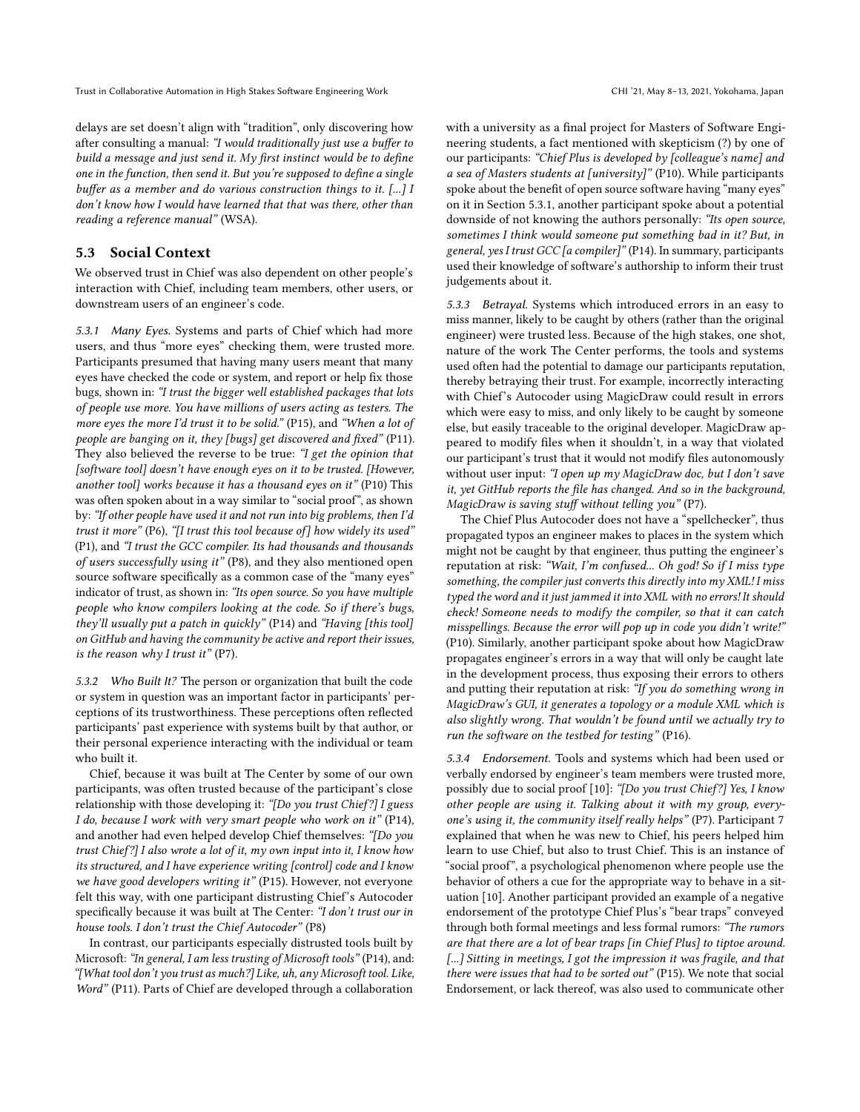delays are set doesn't align with "tradition", only discovering how after consulting a manual: "I would traditionally just use a buffer to build a message and just send it. My first instinct would be to define one in the function, then send it. But you're supposed to define a single buffer as a member and do various construction things to it. [...] I don't know how I would have learned that that was there, other than reading a reference manual" (WSA).

## 5.3 Social Context

We observed trust in Chief was also dependent on other people's interaction with Chief, including team members, other users, or downstream users of an engineer's code.

<span id="page-8-0"></span>5.3.1 Many Eyes. Systems and parts of Chief which had more users, and thus "more eyes" checking them, were trusted more. Participants presumed that having many users meant that many eyes have checked the code or system, and report or help fix those bugs, shown in: "I trust the bigger well established packages that lots of people use more. You have millions of users acting as testers. The more eyes the more I'd trust it to be solid." (P15), and "When a lot of people are banging on it, they [bugs] get discovered and fixed" (P11). They also believed the reverse to be true: "I get the opinion that [software tool] doesn't have enough eyes on it to be trusted. [However, another tool] works because it has a thousand eyes on it" (P10) This was often spoken about in a way similar to "social proof", as shown by: "If other people have used it and not run into big problems, then I'd trust it more" (P6), "[I trust this tool because of] how widely its used" (P1), and "I trust the GCC compiler. Its had thousands and thousands of users successfully using it" (P8), and they also mentioned open source software specifically as a common case of the "many eyes" indicator of trust, as shown in: "Its open source. So you have multiple people who know compilers looking at the code. So if there's bugs, they'll usually put a patch in quickly" (P14) and "Having [this tool] on GitHub and having the community be active and report their issues, is the reason why I trust it"  $( P7)$ .

5.3.2 Who Built It? The person or organization that built the code or system in question was an important factor in participants' perceptions of its trustworthiness. These perceptions often reflected participants' past experience with systems built by that author, or their personal experience interacting with the individual or team who built it.

Chief, because it was built at The Center by some of our own participants, was often trusted because of the participant's close relationship with those developing it: "[Do you trust Chief?] I guess I do, because I work with very smart people who work on it" (P14), and another had even helped develop Chief themselves: "[Do you trust Chief?] I also wrote a lot of it, my own input into it, I know how its structured, and I have experience writing [control] code and I know we have good developers writing it" (P15). However, not everyone felt this way, with one participant distrusting Chief's Autocoder specifically because it was built at The Center: "I don't trust our in house tools. I don't trust the Chief Autocoder" (P8)

In contrast, our participants especially distrusted tools built by Microsoft: "In general, I am less trusting of Microsoft tools" (P14), and: "[What tool don't you trust as much?] Like, uh, any Microsoft tool. Like, Word" (P11). Parts of Chief are developed through a collaboration

with a university as a final project for Masters of Software Engineering students, a fact mentioned with skepticism (?) by one of our participants: "Chief Plus is developed by [colleague's name] and a sea of Masters students at [university]" (P10). While participants spoke about the benefit of open source software having "many eyes" on it in Section [5.3.1,](#page-8-0) another participant spoke about a potential downside of not knowing the authors personally: "Its open source, sometimes I think would someone put something bad in it? But, in general, yes I trust GCC [a compiler]" (P14). In summary, participants used their knowledge of software's authorship to inform their trust judgements about it.

5.3.3 Betrayal. Systems which introduced errors in an easy to miss manner, likely to be caught by others (rather than the original engineer) were trusted less. Because of the high stakes, one shot, nature of the work The Center performs, the tools and systems used often had the potential to damage our participants reputation, thereby betraying their trust. For example, incorrectly interacting with Chief's Autocoder using MagicDraw could result in errors which were easy to miss, and only likely to be caught by someone else, but easily traceable to the original developer. MagicDraw appeared to modify files when it shouldn't, in a way that violated our participant's trust that it would not modify files autonomously without user input: "I open up my MagicDraw doc, but I don't save it, yet GitHub reports the file has changed. And so in the background, MagicDraw is saving stuff without telling you" (P7).

The Chief Plus Autocoder does not have a "spellchecker", thus propagated typos an engineer makes to places in the system which might not be caught by that engineer, thus putting the engineer's reputation at risk: "Wait, I'm confused... Oh god! So if I miss type something, the compiler just converts this directly into  $m\gamma$  XML! I miss typed the word and it just jammed it into XML with no errors! It should check! Someone needs to modify the compiler, so that it can catch misspellings. Because the error will pop up in code you didn't write!" (P10). Similarly, another participant spoke about how MagicDraw propagates engineer's errors in a way that will only be caught late in the development process, thus exposing their errors to others and putting their reputation at risk: "If you do something wrong in MagicDraw's GUI, it generates a topology or a module XML which is also slightly wrong. That wouldn't be found until we actually try to run the software on the testbed for testing" (P16).

5.3.4 Endorsement. Tools and systems which had been used or verbally endorsed by engineer's team members were trusted more, possibly due to social proof [\[10\]](#page-11-20): "[Do you trust Chief?] Yes, I know other people are using it. Talking about it with my group, everyone's using it, the community itself really helps" (P7). Participant 7 explained that when he was new to Chief, his peers helped him learn to use Chief, but also to trust Chief. This is an instance of "social proof", a psychological phenomenon where people use the behavior of others a cue for the appropriate way to behave in a situation [\[10\]](#page-11-20). Another participant provided an example of a negative endorsement of the prototype Chief Plus's "bear traps" conveyed through both formal meetings and less formal rumors: "The rumors are that there are a lot of bear traps [in Chief Plus] to tiptoe around. [...] Sitting in meetings, I got the impression it was fragile, and that there were issues that had to be sorted out" (P15). We note that social Endorsement, or lack thereof, was also used to communicate other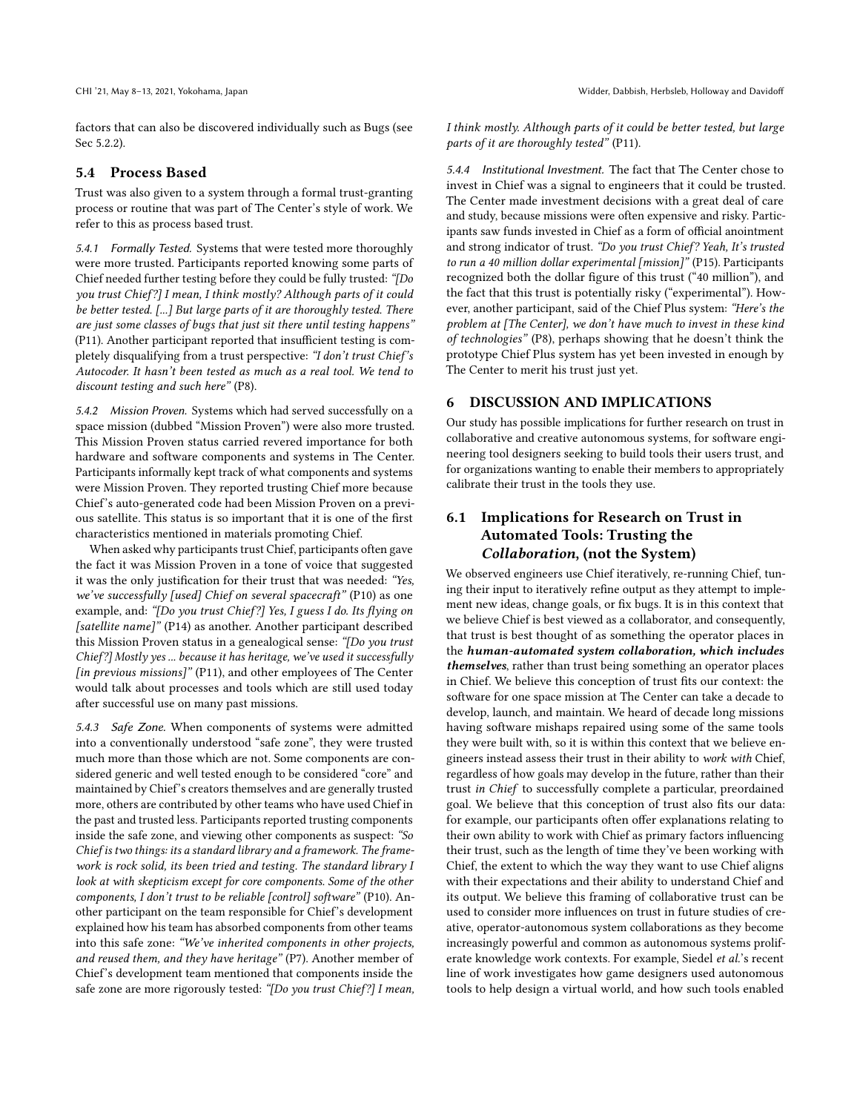factors that can also be discovered individually such as Bugs (see Sec [5.2.2\)](#page-7-1).

#### 5.4 Process Based

Trust was also given to a system through a formal trust-granting process or routine that was part of The Center's style of work. We refer to this as process based trust.

5.4.1 Formally Tested. Systems that were tested more thoroughly were more trusted. Participants reported knowing some parts of Chief needed further testing before they could be fully trusted: "[Do you trust Chief?] I mean, I think mostly? Although parts of it could be better tested. [...] But large parts of it are thoroughly tested. There are just some classes of bugs that just sit there until testing happens" (P11). Another participant reported that insufficient testing is completely disqualifying from a trust perspective: "I don't trust Chief's Autocoder. It hasn't been tested as much as a real tool. We tend to discount testing and such here" (P8).

<span id="page-9-1"></span>5.4.2 Mission Proven. Systems which had served successfully on a space mission (dubbed "Mission Proven") were also more trusted. This Mission Proven status carried revered importance for both hardware and software components and systems in The Center. Participants informally kept track of what components and systems were Mission Proven. They reported trusting Chief more because Chief's auto-generated code had been Mission Proven on a previous satellite. This status is so important that it is one of the first characteristics mentioned in materials promoting Chief.

When asked why participants trust Chief, participants often gave the fact it was Mission Proven in a tone of voice that suggested it was the only justification for their trust that was needed: "Yes, we've successfully [used] Chief on several spacecraft" (P10) as one example, and: "[Do you trust Chief?] Yes, I guess I do. Its flying on [satellite name]" (P14) as another. Another participant described this Mission Proven status in a genealogical sense: "[Do you trust Chief?] Mostly yes ... because it has heritage, we've used it successfully [in previous missions]" (P11), and other employees of The Center would talk about processes and tools which are still used today after successful use on many past missions.

<span id="page-9-0"></span>5.4.3 Safe Zone. When components of systems were admitted into a conventionally understood "safe zone", they were trusted much more than those which are not. Some components are considered generic and well tested enough to be considered "core" and maintained by Chief's creators themselves and are generally trusted more, others are contributed by other teams who have used Chief in the past and trusted less. Participants reported trusting components inside the safe zone, and viewing other components as suspect: "So Chief is two things: its a standard library and a framework. The framework is rock solid, its been tried and testing. The standard library I look at with skepticism except for core components. Some of the other components, I don't trust to be reliable [control] software" (P10). Another participant on the team responsible for Chief's development explained how his team has absorbed components from other teams into this safe zone: "We've inherited components in other projects, and reused them, and they have heritage" (P7). Another member of Chief's development team mentioned that components inside the safe zone are more rigorously tested: "[Do you trust Chief?] I mean,

I think mostly. Although parts of it could be better tested, but large parts of it are thoroughly tested" (P11).

5.4.4 Institutional Investment. The fact that The Center chose to invest in Chief was a signal to engineers that it could be trusted. The Center made investment decisions with a great deal of care and study, because missions were often expensive and risky. Participants saw funds invested in Chief as a form of official anointment and strong indicator of trust. "Do you trust Chief? Yeah, It's trusted to run a 40 million dollar experimental [mission]" (P15). Participants recognized both the dollar figure of this trust ("40 million"), and the fact that this trust is potentially risky ("experimental"). However, another participant, said of the Chief Plus system: "Here's the problem at [The Center], we don't have much to invest in these kind of technologies" (P8), perhaps showing that he doesn't think the prototype Chief Plus system has yet been invested in enough by The Center to merit his trust just yet.

#### 6 DISCUSSION AND IMPLICATIONS

Our study has possible implications for further research on trust in collaborative and creative autonomous systems, for software engineering tool designers seeking to build tools their users trust, and for organizations wanting to enable their members to appropriately calibrate their trust in the tools they use.

# 6.1 Implications for Research on Trust in Automated Tools: Trusting the Collaboration, (not the System)

We observed engineers use Chief iteratively, re-running Chief, tuning their input to iteratively refine output as they attempt to implement new ideas, change goals, or fix bugs. It is in this context that we believe Chief is best viewed as a collaborator, and consequently, that trust is best thought of as something the operator places in the human-automated system collaboration, which includes themselves, rather than trust being something an operator places in Chief. We believe this conception of trust fits our context: the software for one space mission at The Center can take a decade to develop, launch, and maintain. We heard of decade long missions having software mishaps repaired using some of the same tools they were built with, so it is within this context that we believe engineers instead assess their trust in their ability to work with Chief, regardless of how goals may develop in the future, rather than their trust in Chief to successfully complete a particular, preordained goal. We believe that this conception of trust also fits our data: for example, our participants often offer explanations relating to their own ability to work with Chief as primary factors influencing their trust, such as the length of time they've been working with Chief, the extent to which the way they want to use Chief aligns with their expectations and their ability to understand Chief and its output. We believe this framing of collaborative trust can be used to consider more influences on trust in future studies of creative, operator-autonomous system collaborations as they become increasingly powerful and common as autonomous systems proliferate knowledge work contexts. For example, Siedel et al.'s recent line of work investigates how game designers used autonomous tools to help design a virtual world, and how such tools enabled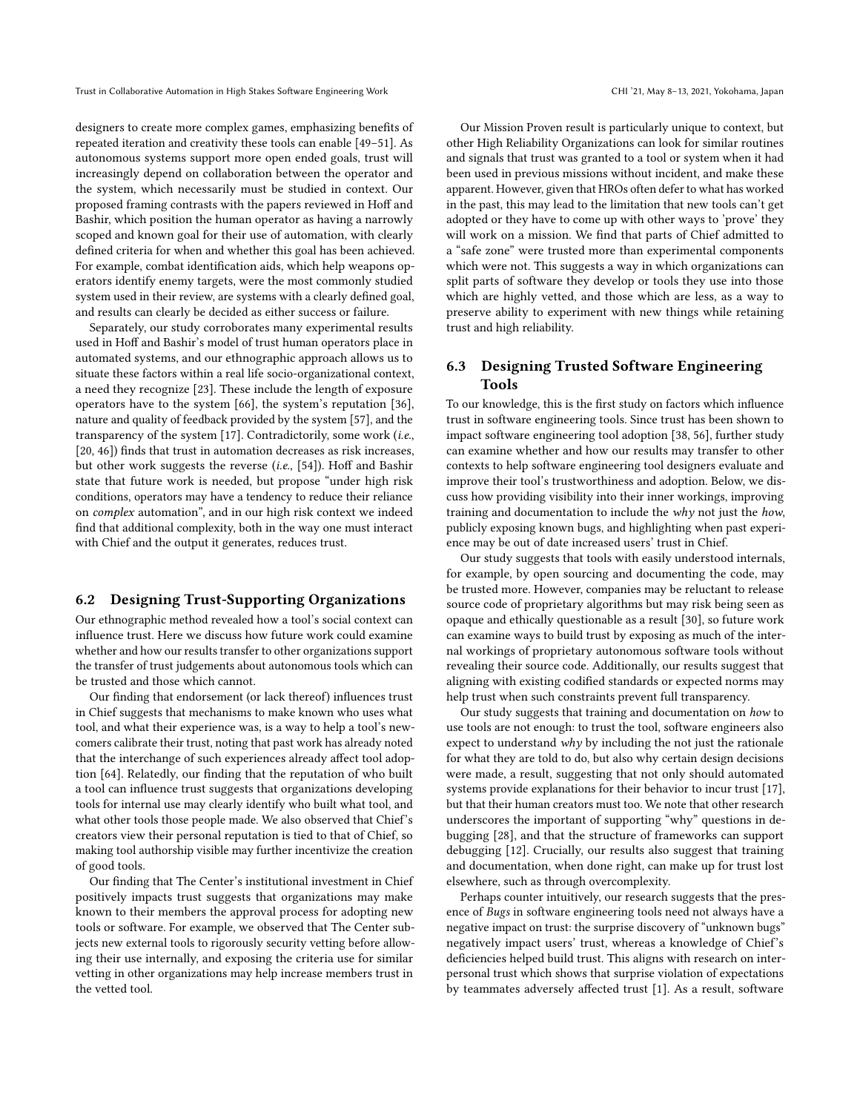designers to create more complex games, emphasizing benefits of repeated iteration and creativity these tools can enable [\[49](#page-12-27)[–51\]](#page-12-28). As autonomous systems support more open ended goals, trust will increasingly depend on collaboration between the operator and the system, which necessarily must be studied in context. Our proposed framing contrasts with the papers reviewed in Hoff and Bashir, which position the human operator as having a narrowly scoped and known goal for their use of automation, with clearly defined criteria for when and whether this goal has been achieved. For example, combat identification aids, which help weapons operators identify enemy targets, were the most commonly studied system used in their review, are systems with a clearly defined goal, and results can clearly be decided as either success or failure.

Separately, our study corroborates many experimental results used in Hoff and Bashir's model of trust human operators place in automated systems, and our ethnographic approach allows us to situate these factors within a real life socio-organizational context, a need they recognize [\[23\]](#page-11-5). These include the length of exposure operators have to the system [\[66\]](#page-12-29), the system's reputation [\[36\]](#page-12-30), nature and quality of feedback provided by the system [\[57\]](#page-12-31), and the transparency of the system [\[17\]](#page-11-21). Contradictorily, some work (i.e., [\[20,](#page-11-22) [46\]](#page-12-32)) finds that trust in automation decreases as risk increases, but other work suggests the reverse (i.e., [\[54\]](#page-12-33)). Hoff and Bashir state that future work is needed, but propose "under high risk conditions, operators may have a tendency to reduce their reliance on complex automation", and in our high risk context we indeed find that additional complexity, both in the way one must interact with Chief and the output it generates, reduces trust.

#### 6.2 Designing Trust-Supporting Organizations

Our ethnographic method revealed how a tool's social context can influence trust. Here we discuss how future work could examine whether and how our results transfer to other organizations support the transfer of trust judgements about autonomous tools which can be trusted and those which cannot.

Our finding that endorsement (or lack thereof) influences trust in Chief suggests that mechanisms to make known who uses what tool, and what their experience was, is a way to help a tool's newcomers calibrate their trust, noting that past work has already noted that the interchange of such experiences already affect tool adoption [\[64\]](#page-12-34). Relatedly, our finding that the reputation of who built a tool can influence trust suggests that organizations developing tools for internal use may clearly identify who built what tool, and what other tools those people made. We also observed that Chief's creators view their personal reputation is tied to that of Chief, so making tool authorship visible may further incentivize the creation of good tools.

Our finding that The Center's institutional investment in Chief positively impacts trust suggests that organizations may make known to their members the approval process for adopting new tools or software. For example, we observed that The Center subjects new external tools to rigorously security vetting before allowing their use internally, and exposing the criteria use for similar vetting in other organizations may help increase members trust in the vetted tool.

Our Mission Proven result is particularly unique to context, but other High Reliability Organizations can look for similar routines and signals that trust was granted to a tool or system when it had been used in previous missions without incident, and make these apparent. However, given that HROs often defer to what has worked in the past, this may lead to the limitation that new tools can't get adopted or they have to come up with other ways to 'prove' they will work on a mission. We find that parts of Chief admitted to a "safe zone" were trusted more than experimental components which were not. This suggests a way in which organizations can split parts of software they develop or tools they use into those which are highly vetted, and those which are less, as a way to preserve ability to experiment with new things while retaining trust and high reliability.

# 6.3 Designing Trusted Software Engineering Tools

To our knowledge, this is the first study on factors which influence trust in software engineering tools. Since trust has been shown to impact software engineering tool adoption [\[38,](#page-12-12) [56\]](#page-12-13), further study can examine whether and how our results may transfer to other contexts to help software engineering tool designers evaluate and improve their tool's trustworthiness and adoption. Below, we discuss how providing visibility into their inner workings, improving training and documentation to include the why not just the how, publicly exposing known bugs, and highlighting when past experience may be out of date increased users' trust in Chief.

Our study suggests that tools with easily understood internals, for example, by open sourcing and documenting the code, may be trusted more. However, companies may be reluctant to release source code of proprietary algorithms but may risk being seen as opaque and ethically questionable as a result [\[30\]](#page-12-35), so future work can examine ways to build trust by exposing as much of the internal workings of proprietary autonomous software tools without revealing their source code. Additionally, our results suggest that aligning with existing codified standards or expected norms may help trust when such constraints prevent full transparency.

Our study suggests that training and documentation on how to use tools are not enough: to trust the tool, software engineers also expect to understand why by including the not just the rationale for what they are told to do, but also why certain design decisions were made, a result, suggesting that not only should automated systems provide explanations for their behavior to incur trust [\[17\]](#page-11-21), but that their human creators must too. We note that other research underscores the important of supporting "why" questions in debugging [\[28\]](#page-11-23), and that the structure of frameworks can support debugging [\[12\]](#page-11-24). Crucially, our results also suggest that training and documentation, when done right, can make up for trust lost elsewhere, such as through overcomplexity.

Perhaps counter intuitively, our research suggests that the presence of Bugs in software engineering tools need not always have a negative impact on trust: the surprise discovery of "unknown bugs" negatively impact users' trust, whereas a knowledge of Chief's deficiencies helped build trust. This aligns with research on interpersonal trust which shows that surprise violation of expectations by teammates adversely affected trust [\[1\]](#page-11-25). As a result, software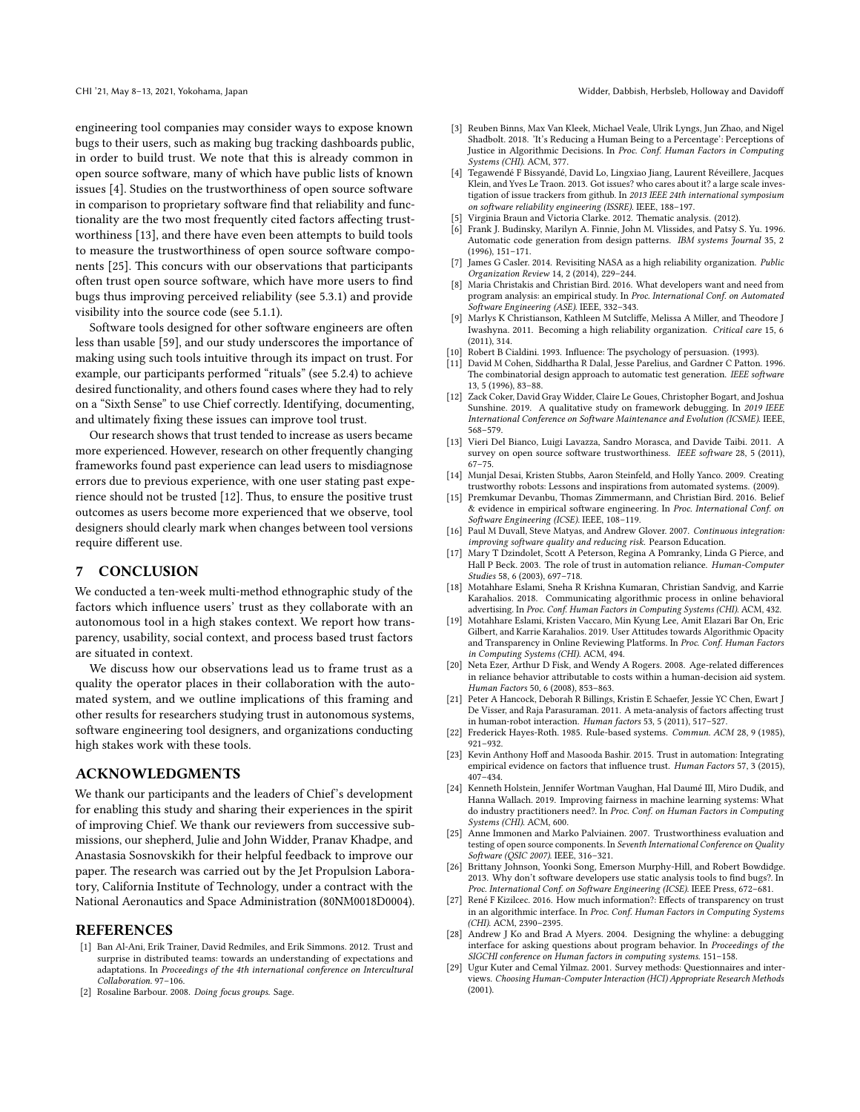engineering tool companies may consider ways to expose known bugs to their users, such as making bug tracking dashboards public, in order to build trust. We note that this is already common in open source software, many of which have public lists of known issues [\[4\]](#page-11-26). Studies on the trustworthiness of open source software in comparison to proprietary software find that reliability and functionality are the two most frequently cited factors affecting trustworthiness [\[13\]](#page-11-27), and there have even been attempts to build tools to measure the trustworthiness of open source software components [\[25\]](#page-11-28). This concurs with our observations that participants often trust open source software, which have more users to find bugs thus improving perceived reliability (see [5.3.1\)](#page-8-0) and provide visibility into the source code (see [5.1.1\)](#page-5-1).

Software tools designed for other software engineers are often less than usable [\[59\]](#page-12-36), and our study underscores the importance of making using such tools intuitive through its impact on trust. For example, our participants performed "rituals" (see [5.2.4\)](#page-7-2) to achieve desired functionality, and others found cases where they had to rely on a "Sixth Sense" to use Chief correctly. Identifying, documenting, and ultimately fixing these issues can improve tool trust.

Our research shows that trust tended to increase as users became more experienced. However, research on other frequently changing frameworks found past experience can lead users to misdiagnose errors due to previous experience, with one user stating past experience should not be trusted [\[12\]](#page-11-24). Thus, to ensure the positive trust outcomes as users become more experienced that we observe, tool designers should clearly mark when changes between tool versions require different use.

#### 7 CONCLUSION

We conducted a ten-week multi-method ethnographic study of the factors which influence users' trust as they collaborate with an autonomous tool in a high stakes context. We report how transparency, usability, social context, and process based trust factors are situated in context.

We discuss how our observations lead us to frame trust as a quality the operator places in their collaboration with the automated system, and we outline implications of this framing and other results for researchers studying trust in autonomous systems, software engineering tool designers, and organizations conducting high stakes work with these tools.

#### ACKNOWLEDGMENTS

We thank our participants and the leaders of Chief's development for enabling this study and sharing their experiences in the spirit of improving Chief. We thank our reviewers from successive submissions, our shepherd, Julie and John Widder, Pranav Khadpe, and Anastasia Sosnovskikh for their helpful feedback to improve our paper. The research was carried out by the Jet Propulsion Laboratory, California Institute of Technology, under a contract with the National Aeronautics and Space Administration (80NM0018D0004).

#### **REFERENCES**

- <span id="page-11-25"></span>[1] Ban Al-Ani, Erik Trainer, David Redmiles, and Erik Simmons. 2012. Trust and surprise in distributed teams: towards an understanding of expectations and adaptations. In Proceedings of the 4th international conference on Intercultural Collaboration. 97–106.
- <span id="page-11-18"></span>[2] Rosaline Barbour. 2008. Doing focus groups. Sage.
- <span id="page-11-7"></span>[3] Reuben Binns, Max Van Kleek, Michael Veale, Ulrik Lyngs, Jun Zhao, and Nigel Shadbolt. 2018. 'It's Reducing a Human Being to a Percentage': Perceptions of Justice in Algorithmic Decisions. In Proc. Conf. Human Factors in Computing Systems (CHI). ACM, 377.
- <span id="page-11-26"></span>[4] Tegawendé F Bissyandé, David Lo, Lingxiao Jiang, Laurent Réveillere, Jacques Klein, and Yves Le Traon. 2013. Got issues? who cares about it? a large scale investigation of issue trackers from github. In 2013 IEEE 24th international symposium on software reliability engineering (ISSRE). IEEE, 188–197.
- <span id="page-11-19"></span>Virginia Braun and Victoria Clarke. 2012. Thematic analysis. (2012).
- <span id="page-11-0"></span>Frank J. Budinsky, Marilyn A. Finnie, John M. Vlissides, and Patsy S. Yu. 1996. Automatic code generation from design patterns. IBM systems Journal 35, 2 (1996), 151–171.
- <span id="page-11-15"></span>[7] James G Casler. 2014. Revisiting NASA as a high reliability organization. Public Organization Review 14, 2 (2014), 229–244.
- <span id="page-11-4"></span>[8] Maria Christakis and Christian Bird. 2016. What developers want and need from program analysis: an empirical study. In Proc. International Conf. on Automated Software Engineering (ASE). IEEE, 332–343.
- <span id="page-11-14"></span>[9] Marlys K Christianson, Kathleen M Sutcliffe, Melissa A Miller, and Theodore J Iwashyna. 2011. Becoming a high reliability organization. Critical care 15, 6 (2011), 314.
- <span id="page-11-20"></span>[10] Robert B Cialdini. 1993. Influence: The psychology of persuasion. (1993).
- <span id="page-11-1"></span>[11] David M Cohen, Siddhartha R Dalal, Jesse Parelius, and Gardner C Patton. 1996. The combinatorial design approach to automatic test generation. IEEE software 13, 5 (1996), 83–88.
- <span id="page-11-24"></span>[12] Zack Coker, David Gray Widder, Claire Le Goues, Christopher Bogart, and Joshua Sunshine. 2019. A qualitative study on framework debugging. In 2019 IEEE International Conference on Software Maintenance and Evolution (ICSME). IEEE, 568–579.
- <span id="page-11-27"></span>[13] Vieri Del Bianco, Luigi Lavazza, Sandro Morasca, and Davide Taibi. 2011. A survey on open source software trustworthiness. IEEE software 28, 5 (2011), 67–75.
- <span id="page-11-11"></span>[14] Munjal Desai, Kristen Stubbs, Aaron Steinfeld, and Holly Yanco. 2009. Creating trustworthy robots: Lessons and inspirations from automated systems. (2009).
- <span id="page-11-13"></span>[15] Premkumar Devanbu, Thomas Zimmermann, and Christian Bird. 2016. Belief & evidence in empirical software engineering. In Proc. International Conf. on Software Engineering (ICSE). IEEE, 108–119.
- <span id="page-11-2"></span>[16] Paul M Duvall, Steve Matyas, and Andrew Glover. 2007. Continuous integration: improving software quality and reducing risk. Pearson Education.
- <span id="page-11-21"></span>[17] Mary T Dzindolet, Scott A Peterson, Regina A Pomranky, Linda G Pierce, and Hall P Beck. 2003. The role of trust in automation reliance. Human-Computer Studies 58, 6 (2003), 697–718.
- <span id="page-11-9"></span>[18] Motahhare Eslami, Sneha R Krishna Kumaran, Christian Sandvig, and Karrie Karahalios. 2018. Communicating algorithmic process in online behavioral advertising. In Proc. Conf. Human Factors in Computing Systems (CHI). ACM, 432.
- <span id="page-11-10"></span>[19] Motahhare Eslami, Kristen Vaccaro, Min Kyung Lee, Amit Elazari Bar On, Eric Gilbert, and Karrie Karahalios. 2019. User Attitudes towards Algorithmic Opacity and Transparency in Online Reviewing Platforms. In Proc. Conf. Human Factors in Computing Systems (CHI). ACM, 494.
- <span id="page-11-22"></span>[20] Neta Ezer, Arthur D Fisk, and Wendy A Rogers. 2008. Age-related differences in reliance behavior attributable to costs within a human-decision aid system. Human Factors 50, 6 (2008), 853–863.
- <span id="page-11-12"></span>[21] Peter A Hancock, Deborah R Billings, Kristin E Schaefer, Jessie YC Chen, Ewart J De Visser, and Raja Parasuraman. 2011. A meta-analysis of factors affecting trust in human-robot interaction. Human factors 53, 5 (2011), 517–527.
- <span id="page-11-16"></span>[22] Frederick Hayes-Roth. 1985. Rule-based systems. Commun. ACM 28, 9 (1985), 921–932.
- <span id="page-11-5"></span>[23] Kevin Anthony Hoff and Masooda Bashir. 2015. Trust in automation: Integrating empirical evidence on factors that influence trust. Human Factors 57, 3 (2015), 407–434.
- <span id="page-11-8"></span>[24] Kenneth Holstein, Jennifer Wortman Vaughan, Hal Daumé III, Miro Dudik, and Hanna Wallach. 2019. Improving fairness in machine learning systems: What do industry practitioners need?. In Proc. Conf. on Human Factors in Computing Systems (CHI). ACM, 600.
- <span id="page-11-28"></span>[25] Anne Immonen and Marko Palviainen. 2007. Trustworthiness evaluation and testing of open source components. In Seventh International Conference on Quality Software (QSIC 2007). IEEE, 316–321.
- <span id="page-11-3"></span>[26] Brittany Johnson, Yoonki Song, Emerson Murphy-Hill, and Robert Bowdidge. 2013. Why don't software developers use static analysis tools to find bugs?. In Proc. International Conf. on Software Engineering (ICSE). IEEE Press, 672–681.
- <span id="page-11-6"></span>[27] René F Kizilcec. 2016. How much information?: Effects of transparency on trust in an algorithmic interface. In Proc. Conf. Human Factors in Computing Systems (CHI). ACM, 2390–2395.
- <span id="page-11-23"></span>[28] Andrew J Ko and Brad A Myers. 2004. Designing the whyline: a debugging interface for asking questions about program behavior. In Proceedings of the SIGCHI conference on Human factors in computing systems. 151–158.
- <span id="page-11-17"></span>[29] Ugur Kuter and Cemal Yilmaz. 2001. Survey methods: Questionnaires and interviews. Choosing Human-Computer Interaction (HCI) Appropriate Research Methods (2001).